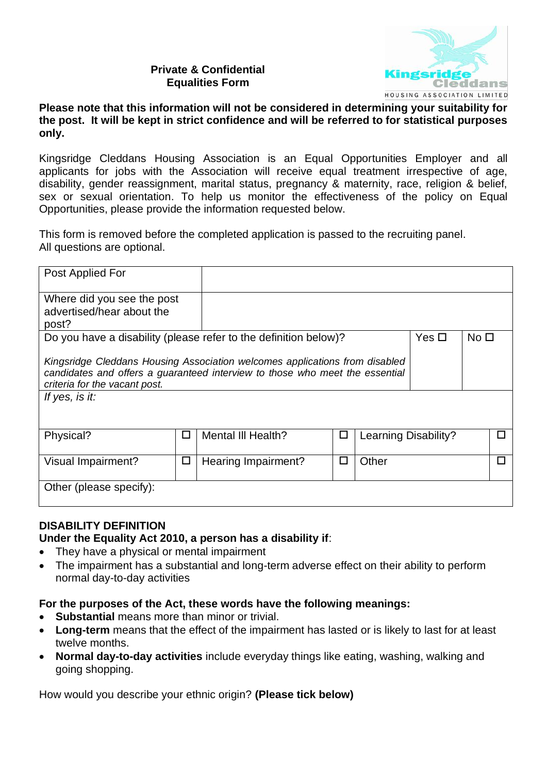## **Private & Confidential Equalities Form**



## **Please note that this information will not be considered in determining your suitability for the post. It will be kept in strict confidence and will be referred to for statistical purposes only.**

Kingsridge Cleddans Housing Association is an Equal Opportunities Employer and all applicants for jobs with the Association will receive equal treatment irrespective of age, disability, gender reassignment, marital status, pregnancy & maternity, race, religion & belief, sex or sexual orientation. To help us monitor the effectiveness of the policy on Equal Opportunities, please provide the information requested below.

This form is removed before the completed application is passed to the recruiting panel. All questions are optional.

| Post Applied For                                                                                                                                                                                               |        |                     |   |                       |  |                 |              |  |
|----------------------------------------------------------------------------------------------------------------------------------------------------------------------------------------------------------------|--------|---------------------|---|-----------------------|--|-----------------|--------------|--|
| Where did you see the post<br>advertised/hear about the<br>post?                                                                                                                                               |        |                     |   |                       |  |                 |              |  |
| Do you have a disability (please refer to the definition below)?<br>Yes $\square$                                                                                                                              |        |                     |   |                       |  | No <sub>1</sub> |              |  |
| Kingsridge Cleddans Housing Association welcomes applications from disabled<br>candidates and offers a guaranteed interview to those who meet the essential<br>criteria for the vacant post.<br>If yes, is it: |        |                     |   |                       |  |                 |              |  |
| Physical?                                                                                                                                                                                                      | $\Box$ | Mental III Health?  | □ | Learning Disability?  |  |                 | $\mathbf{I}$ |  |
| <b>Visual Impairment?</b>                                                                                                                                                                                      | $\Box$ | Hearing Impairment? | □ | Other<br>$\mathbf{L}$ |  |                 |              |  |
| Other (please specify):                                                                                                                                                                                        |        |                     |   |                       |  |                 |              |  |

## **DISABILITY DEFINITION**

**Under the Equality Act 2010, a person has a disability if**:

- They have a physical or mental impairment
- The impairment has a substantial and long-term adverse effect on their ability to perform normal day-to-day activities

## **For the purposes of the Act, these words have the following meanings:**

- **Substantial** means more than minor or trivial.
- **Long-term** means that the effect of the impairment has lasted or is likely to last for at least twelve months.
- **Normal day-to-day activities** include everyday things like eating, washing, walking and going shopping.

How would you describe your ethnic origin? **(Please tick below)**